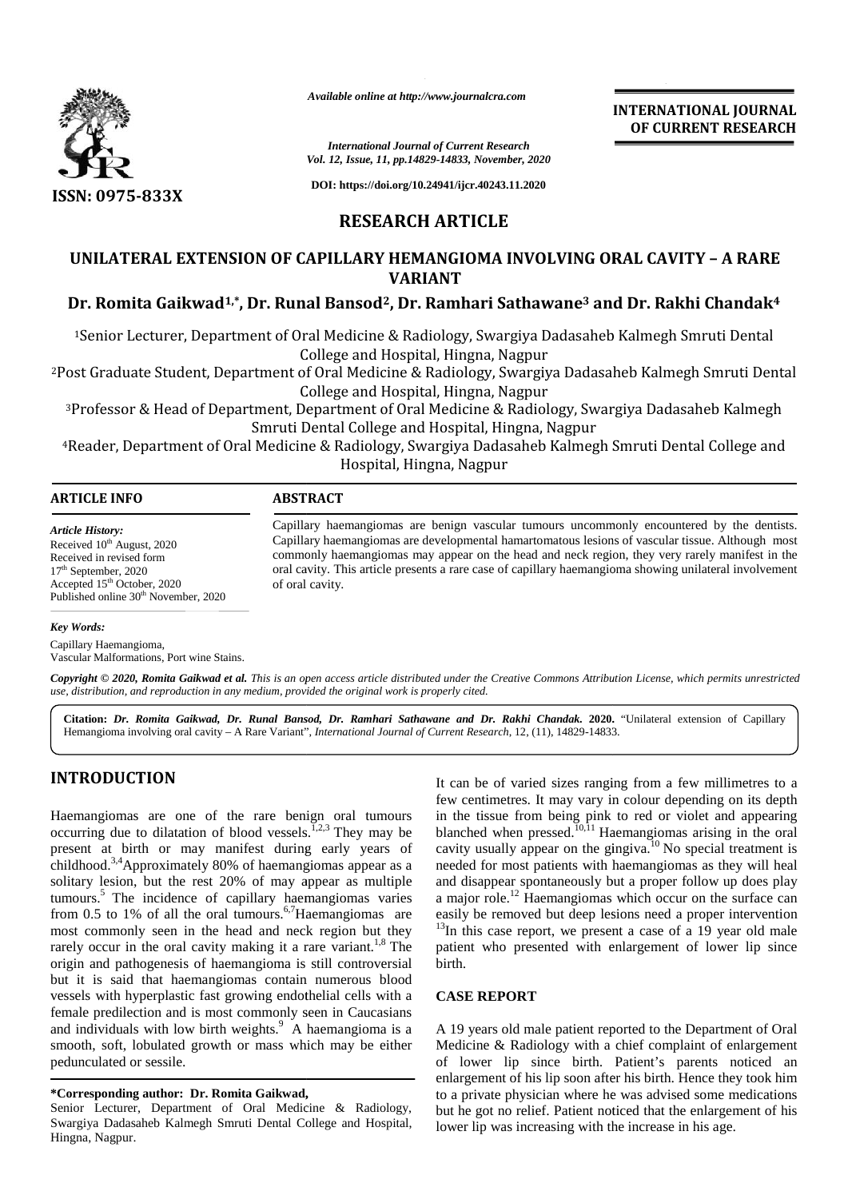

*Available online at http://www.journalcra.com*

**INTERNATIONAL JOURNAL OF CURRENT RESEARCH**

*International Journal of Current Research Vol. 12, Issue, 11, pp.14829-14833, November, 2020*

**DOI: https://doi.org/10.24941/ijcr.40243.11.2020**

## **RESEARCH ARTICLE**

# **UNILATERAL EXTENSION OF CAPILLARY HEMANGIOMA INVOLVING ORAL CAVITY – A RARE VARIANT** UNILATERAL EXTENSION OF CAPILLARY HEMANGIOMA INVOLVING ORAL CAVITY - A RARE<br>VARIANT<br>Dr. Romita Gaikwad<sup>1,\*</sup>, Dr. Runal Bansod<sup>2</sup>, Dr. Ramhari Sathawane<sup>3</sup> and Dr. Rakhi Chandak<sup>4</sup>

<sup>1</sup>Senior Lecturer, Department of Oral Medicine & Radiology, Swargiya Dadasaheb Kalmegh Smruti Dental<br>College and Hospital, Hingna, Nagpur College and Hospital, Hingna, Nagpur

<sup>2</sup>Post Graduate Student, Department of Oral Medicine & Radiology, Swargiya Dadasaheb Kalmegh Smruti Dental PostStudent, &Radiology,College College and Hospital, Hingna, Nagpur

<sup>3</sup>Professor & Head of Department, Department of Oral Medicine & Radiology, Swargiya Dadasaheb Kalmegh Smruti Dental College and Hospital, Hingna, Nagpur

<sup>4</sup>Reader, Department of Oral Medicine & Radiology, Swargiya Dadasaheb Kalmegh Smruti Dental College and Hospital, Hingna, Nagpur Professor & Head of Department, Department of Oral Medicine & Radiology, Swargiya Dadasaheb Kalm<sup>S</sup>mruti Dental College and Hospital, Hingna, Nagpur<br>Reader, Department of Oral Medicine & Radiology, Swargiya Dadasaheb Kalme

| ART | .                  |  |  |  |  |  |
|-----|--------------------|--|--|--|--|--|
|     | $\cdots$<br>$\sim$ |  |  |  |  |  |

*Article History:* Received 10<sup>th</sup> August, 2020 Received in revised form 17 th September, 2020 Accepted 15<sup>th</sup> October, 2020 Received in revised form<br>17<sup>th</sup> September, 2020<br>Accepted 15<sup>th</sup> October, 2020<br>Published online 30<sup>th</sup> November, 2020

Capillary haemangiomas are benign vascular tumours uncommonly encountered by the dentists.<br>Capillary haemangiomas are developmental hamartomatous lesions of vascular tissue. Although most Capillary haemangiomas are developmental hamartomatous lesions of vascular tissue. Although most commonly haemangiomas may appear on the head and neck region, they very rarely manifest in the oral cavity. This article presents a rare case of capillary haemangioma showing unilateral involvement<br>of oral cavity. of oral cavity. Available online at http://www.journalcra.com<br>
International Journal of Current Research<br>
Vol. 12, Issue, 11, pp.14829-14833, November,<br>
DOI: https://doi.org/10.24941/ijer.40243.11.<br>
RESEARCH ARTICLE<br>
ERAL EXTENSION OF CAP Material Journal Journal of Current Research.<br>
Material Journal of Current Research.<br>
1982<br>
1982<br>
1983<br>
1993<br>
1993<br>
1993<br>
1993<br>
1993<br>
1993<br>
1993<br>
1993<br>
1993<br>
1993<br>
1993<br>
1993<br>
1993<br>
1993<br>
1994<br>
1994<br>
1994<br>
1994<br>
1994<br>
199

#### *Key Words:*

Capillary Haemangioma, Vascular Malformations, Port wine Stains.

Copyright © 2020, Romita Gaikwad et al. This is an open access article distributed under the Creative Commons Attribution License, which permits unrestricted **Copyright © 2020, Romita Gaikwad et al.** This is an open access article distributed under the Cre<br>use, distribution, and reproduction in any medium, provided the original work is properly cited.

Citation: Dr. Romita Gaikwad, Dr. Runal Bansod, Dr. Ramhari Sathawane and Dr. Rakhi Chandak. 2020. "Unilateral extension of Capillary Hemangioma involving oral cavity – A Rare Variant", *International Journal of Current Research*, 12, (11), 14829-14833.

## **INTRODUCTION INTRODUCTION**

Haemangiomas are one of the rare benign oral tumours Haemangiomas are one of the rare benign oral tumours in t occurring due to dilatation of blood vessels.<sup>1,2,3</sup> They may be blar present at birth or may manifest during early years of present at birth or may manifest during early years of cavichildhood.<sup>3,4</sup>Approximately 80% of haemangiomas appear as a need solitary lesion, but the rest 20% of may appear as multiple tumours.<sup>5</sup> The incidence of capillary haemangiomas varies a n from 0.5 to 1% of all the oral tumours.<sup>6,7</sup>Haemangiomas are most commonly seen in the head and neck region but they most commonly seen in the head and neck region but they  $1.5$  The rarely occur in the oral cavity making it a rare variant.<sup>1,8</sup> The pation origin and pathogenesis of haemangioma is still controversial but it is said that haemangiomas contain numerous blood vessels with hyperplastic fast growing endothelial cells with a female predilection and is most commonly seen in Caucasians origin and pathogenesis of haemangioma is still controversial birth but it is said that haemangiomas contain numerous blood vessels with hyperplastic fast growing endothelial cells with a CA female predilection and is most smooth, soft, lobulated growth or mass which may be either M<br>pedunculated or sessile. of pedunculated or sessile. solitary lesion, but the rest 20% of may appear as multiple tumours.<sup>5</sup> The incidence of capillary haemangiomas varies from 0.5 to 1% of all the oral tumours.<sup>6,7</sup>Haemangiomas are **HVTKODUCTION**<br>
If can be of variat sizes ranging from a few influences to a<br>decrease the constrained amage on the finition of blood vessels.<sup>7,23</sup> They may be blanched when pressed.<sup>70,11</sup>Hacmangionns arising the to prov

#### **\*Corresponding author: Dr. Romita Gaikwad, \*Corresponding**

Senior Lecturer, Department of Oral Medicine & Radiology, Swargiya Dadasaheb Kalmegh Smruti Dental College and Hospital, Swargiya Hingna, Nagpur.

It can be of varied sizes ranging from a few millimetres to a few centimetres. It may vary in colour depending on its depth in the tissue from being pink to red or violet and appearing blanched when pressed.<sup>10,11</sup> Haemangiomas arising in the oral cavity usually appear on the gingiva.<sup>10</sup> No special treatment is needed for most patients with haemangiomas as they will heal and disappear spontaneously but a proper follow up does play a major role.<sup>12</sup> Haemangiomas which occur on the surface can easily be removed but deep lesions need a proper intervention  $13$ In this case report, we present a case of a 19 year old male patient who presented with enlargement of lower lip since birth. **EXERCISE AND THE UNITRAL STRAIGHD CONTRACT SERVER SERVER SERVER INTO A CONTRACT SERVER AND RESEARCH ARTICLE SERVER SERVER AND RESEARCH ARTICLE SERVER SERVER AND CONTRACT CONTRACT CONTRACT CONTRACT CONTRACT CONTRACT CONTR** 

### **CASE REPORT**

A 19 years old male patient reported to the Department of Oral Medicine & Radiology with a chief complaint of enlargement of lower lip since birth. Patient's parents noticed an of lower lip since birth. Patient's parents noticed an enlargement of his lip soon after his birth. Hence they took him to a private physician where he was advised some medications to a private physician where he was advised some medications<br>but he got no relief. Patient noticed that the enlargement of his lower lip was increasing with the increase in his age.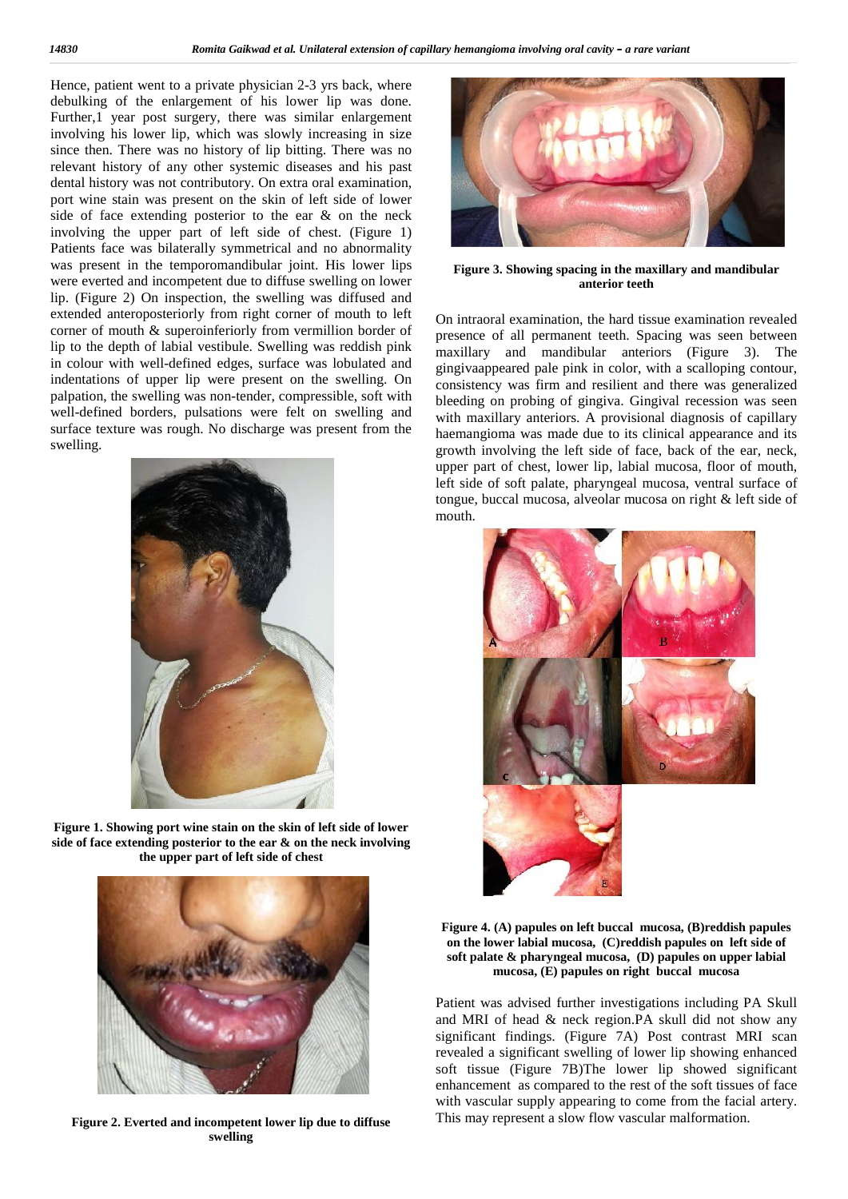Hence, patient went to a private physician 2-3 yrs back, where debulking of the enlargement of his lower lip was done. Further, 1 year post surgery, there was similar enlargement involving his lower lip, which was slowly increasing in size since then. There was no history of lip bitting. There was no relevant history of any other systemic diseases and his past dental history was not contributory. On extra oral examination, port wine stain was present on the skin of left side of lower side of face extending posterior to the ear & on the neck involving the upper part of left side of chest. (Figure 1) Patients face was bilaterally symmetrical and no abnormality was present in the temporomandibular joint. His lower lips were everted and incompetent due to diffuse swelling on lower lip. (Figure 2) On inspection, the swelling was diffused and extended anteroposteriorly from right corner of mouth to left corner of mouth & superoinferiorly from vermillion border of lip to the depth of labial vestibule. Swelling was reddish pink in colour with well-defined edges, surface was lobulated and indentations of upper lip were present on the swelling. On palpation, the swelling was non-tender, compressible, soft with well-defined borders, pulsations were felt on swelling and surface texture was rough. No discharge was present from the swelling.



**Figure 1. Showing port wine stain on the skin of left side of lower side of face extending posterior to the ear & on theneck involving the upper part of left side of chest**



**Figure 2. Everted and incompetent lower lip due to diffuse swelling**



**Figure 3. Showing spacing in the maxillary and mandibular anterior teeth**

On intraoral examination, the hard tissue examination revealed presence of all permanent teeth. Spacing was seen between maxillary and mandibular anteriors (Figure 3). The gingivaappeared pale pink in color, with a scalloping contour, consistency was firm and resilient and there was generalized bleeding on probing of gingiva. Gingival recession was seen with maxillary anteriors. A provisional diagnosis of capillary haemangioma was made due to its clinical appearance and its growth involving the left side of face, back of the ear, neck, upper part of chest, lower lip, labial mucosa, floor of mouth, left side of soft palate, pharyngeal mucosa, ventral surface of tongue, buccal mucosa, alveolar mucosa on right & left side of mouth.



#### **Figure 4. (A) papules on leftbuccal mucosa, (B)reddish papules on the lower labial mucosa, (C)reddish papules on left side of soft palate & pharyngeal mucosa, (D) papules on upper labial mucosa, (E) papules on right buccal mucosa**

Patient was advised further investigations including PA Skull and MRI of head  $&$  neck region. PA skull did not show any significant findings. (Figure 7A) Post contrast MRI scan revealed a significant swelling of lower lip showing enhanced soft tissue (Figure 7B)The lower lip showed significant enhancement as compared to the rest of the soft tissues of face with vascular supply appearing to come from the facial artery. This may represent a slow flow vascular malformation.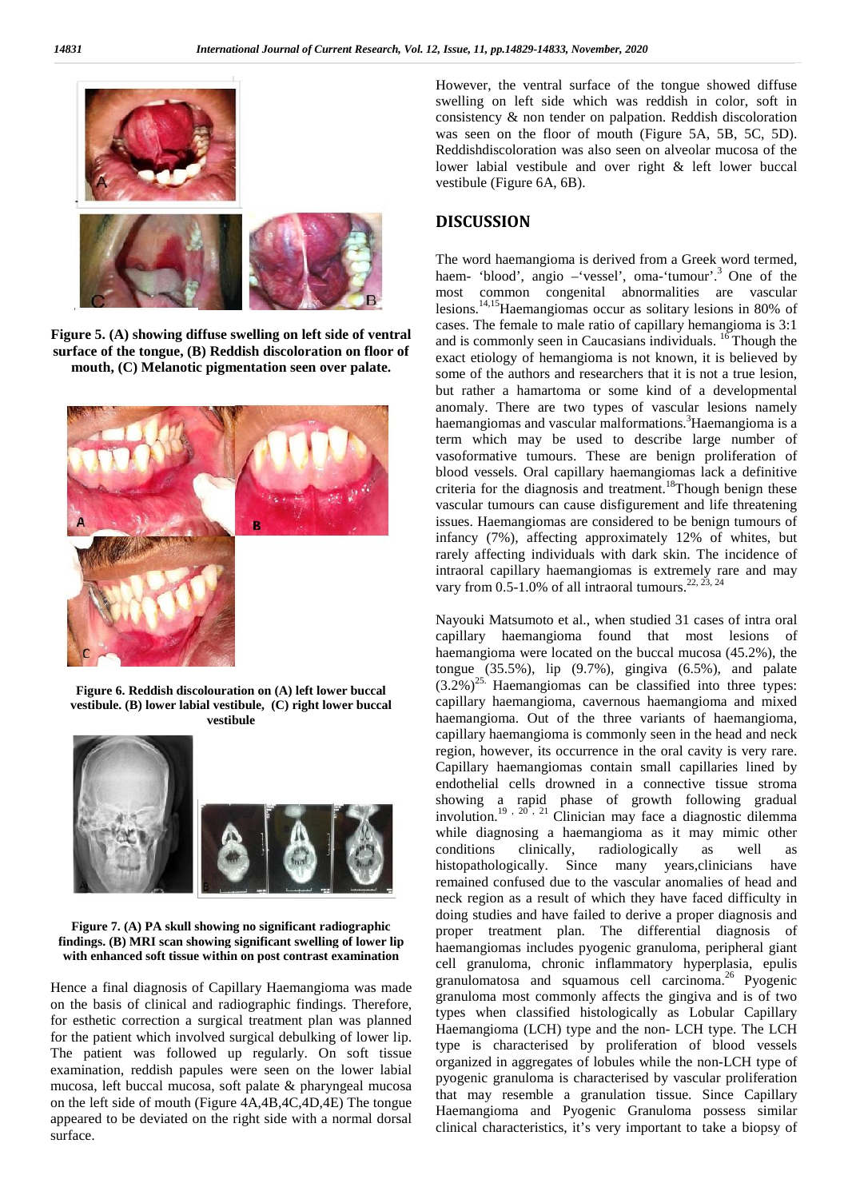

**Figure 5. (A) showing diffuse swelling on leftside of ventral surface of the tongue, (B) Reddish discoloration on floor of mouth, (C) Melanotic pigmentation seen over palate.**



**Figure 6. Reddish discolouration on (A)left lower buccal vestibule. (B) lower labial vestibule, (C) right lower buccal vestibule**



**Figure 7. (A) PA skull showing no significant radiographic findings. (B) MRI scan showing significant swelling of lower lip with enhanced soft tissue within on post contrast examination**

Hence a final diagnosis of Capillary Haemangioma was made on the basis of clinical and radiographic findings. Therefore, for esthetic correction a surgical treatment plan was planned for the patient which involved surgical debulking of lower lip. The patient was followed up regularly. On soft tissue examination, reddish papules were seen on the lower labial mucosa, left buccal mucosa, soft palate & pharyngeal mucosa on the left side of mouth (Figure 4A,4B,4C,4D,4E) The tongue appeared to be deviated on the right side with a normal dorsal surface.

However, the ventral surface of the tongue showed diffuse swelling on left side which was reddish in color, soft in consistency & non tender on palpation. Reddish discoloration was seen on the floor of mouth (Figure 5A, 5B, 5C, 5D). Reddishdiscoloration was also seen on alveolar mucosa of the lower labial vestibule and over right & left lower buccal vestibule (Figure 6A, 6B).

### **DISCUSSION**

The word haemangioma is derived from a Greek word termed, haem- 'blood', angio –'vessel', oma-'tumour'.<sup>3</sup> One of the most common congenital abnormalities are vascular lesions.14,15Haemangiomas occur as solitary lesions in 80% of cases. The female to male ratio of capillary hemangioma is 3:1 and is commonly seen in Caucasians individuals. <sup>16</sup> Though the exact etiology of hemangioma is not known, it is believed by some of the authors and researchers that it is not a true lesion, but rather a hamartoma or some kind of a developmental anomaly. There are two types of vascular lesions namely haemangiomas and vascular malformations.<sup>3</sup>Haemangioma is a term which may be used to describe large number of vasoformative tumours. These are benign proliferation of blood vessels. Oral capillary haemangiomas lack a definitive criteria for the diagnosis and treatment.<sup>18</sup>Though benign these vascular tumours can cause disfigurement and life threatening issues. Haemangiomas are considered to be benign tumours of infancy (7%), affecting approximately 12% of whites, but rarely affecting individuals with dark skin. The incidence of intraoral capillary haemangiomas is extremely rare and may vary from 0.5-1.0% of all intraoral tumours.<sup>22, 23, 24</sup>

Nayouki Matsumoto et al., when studied 31 cases of intra oral capillary haemangioma found that most lesions of haemangioma were located on the buccal mucosa (45.2%), the tongue  $(35.5\%)$ , lip  $(9.7\%)$ , gingiva  $(6.5\%)$ , and palate  $(3.2\%)$ <sup>25.</sup> Haemangiomas can be classified into three types: capillary haemangioma, cavernous haemangioma and mixed haemangioma. Out of the three variants of haemangioma, capillary haemangioma is commonly seen in the head and neck region, however, its occurrence in the oral cavity is very rare. Capillary haemangiomas contain small capillaries lined by endothelial cells drowned in a connective tissue stroma showing a rapid phase of growth following gradual involution.<sup>19, 20</sup>, <sup>21</sup> Clinician may face a diagnostic dilemma while diagnosing a haemangioma as it may mimic other conditions clinically, radiologically as well as histopathologically. Since many years,clinicians have remained confused due to the vascular anomalies of head and neck region as a result of which they have faced difficulty in doing studies and have failed to derive a proper diagnosis and proper treatment plan. The differential diagnosis of haemangiomas includes pyogenic granuloma, peripheral giant cell granuloma, chronic inflammatory hyperplasia, epulis granulomatosa and squamous cell carcinoma.<sup>26</sup> Pyogenic granuloma most commonly affects the gingiva and is of two types when classified histologically as Lobular Capillary Haemangioma (LCH) type and the non- LCH type. The LCH type is characterised by proliferation of blood vessels organized in aggregates of lobules while the non-LCH typeof pyogenic granuloma is characterised by vascular proliferation that may resemble a granulation tissue. Since Capillary Haemangioma and Pyogenic Granuloma possess similar clinical characteristics, it's very important to take a biopsy of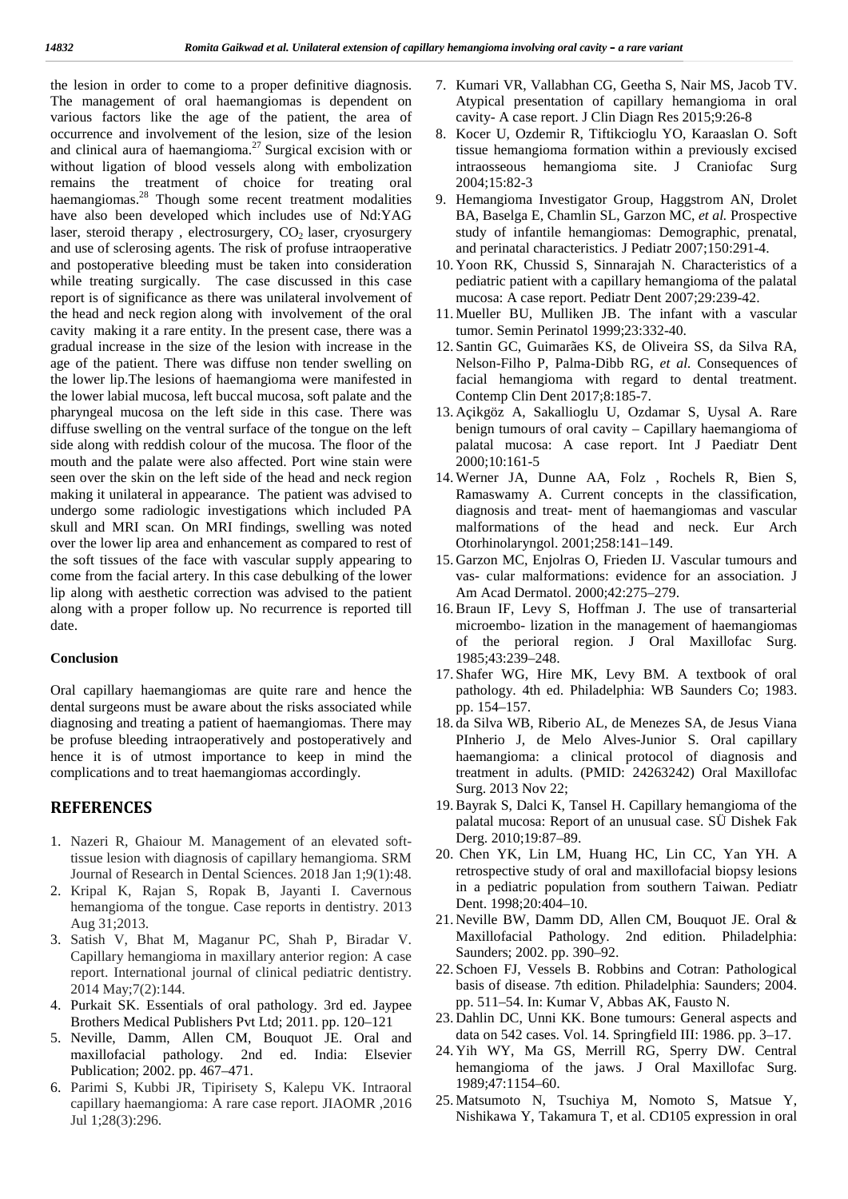the lesion in order to come to a proper definitive diagnosis. The management of oral haemangiomas is dependent on various factors like the age of the patient, the area of occurrence and involvement of the lesion, size of the lesion and clinical aura of haemangioma.<sup>27</sup> Surgical excision with or without ligation of blood vessels along with embolization remains the treatment of choice for treating oral haemangiomas.<sup>28</sup> Though some recent treatment modalities 9. have also been developed which includes use of Nd:YAG laser, steroid therapy, electrosurgery,  $CO<sub>2</sub>$  laser, cryosurgery and use of sclerosing agents. The risk of profuse intraoperative and postoperative bleeding must be taken into consideration while treating surgically. The case discussed in this case report is of significance as there was unilateral involvement of the head and neck region along with involvement of the oral cavity making it a rare entity. In the present case, there was a gradual increase in the size of the lesion with increase in the age of the patient. There was diffuse non tender swelling on the lower lip.The lesions of haemangioma were manifested in the lower labial mucosa, left buccal mucosa, soft palate and the pharyngeal mucosa on the left side in this case. There was diffuse swelling on the ventral surface of the tongue on the left side along with reddish colour of the mucosa. The floor of the mouth and the palate were also affected. Port wine stain were seen over the skin on the left side of the head and neck region making it unilateral in appearance. The patient was advised to undergo some radiologic investigations which included PA skull and MRI scan. On MRI findings, swelling was noted over the lower lip area and enhancement as compared to rest of the soft tissues of the face with vascular supply appearing to come from the facial artery. In this case debulking of the lower lip along with aesthetic correction was advised to the patient along with a proper follow up. No recurrence is reported till date.

#### **Conclusion**

Oral capillary haemangiomas are quite rare and hence the dental surgeons must be aware about the risks associated while diagnosing and treating a patient of haemangiomas. There may be profuse bleeding intraoperatively and postoperatively and hence it is of utmost importance to keep in mind the complications and to treat haemangiomas accordingly.

### **REFERENCES**

- 1. Nazeri R, Ghaiour M. Management of an elevated softtissue lesion with diagnosis of capillary hemangioma. SRM Journal of Research in Dental Sciences. 2018 Jan 1;9(1):48.
- 2. Kripal K, Rajan S, Ropak B, Jayanti I. Cavernous hemangioma of the tongue. Case reports in dentistry. 2013 Aug 31;2013.
- 3. Satish V, Bhat M, Maganur PC, Shah P, Biradar V. Capillary hemangioma in maxillary anterior region: A case report. International journal of clinical pediatric dentistry. 2014 May;7(2):144.
- 4. Purkait SK. Essentials of oral pathology. 3rd ed. Jaypee Brothers Medical Publishers Pvt Ltd; 2011. pp. 120–121
- 5. Neville, Damm, Allen CM, Bouquot JE. Oral and maxillofacial pathology. 2nd ed. India: Elsevier Publication; 2002. pp. 467–471.
- 6. Parimi S, Kubbi JR, Tipirisety S, Kalepu VK. Intraoral capillary haemangioma: A rare case report. JIAOMR ,2016 Jul 1;28(3):296.
- 7. Kumari VR, Vallabhan CG, Geetha S, Nair MS, Jacob TV. Atypical presentation of capillary hemangioma in oral cavity- A case report. J Clin Diagn Res 2015;9:26-8
- 8. Kocer U, Ozdemir R, Tiftikcioglu YO, Karaaslan O. Soft tissue hemangioma formation within a previously excised intraosseous hemangioma site. J Craniofac Surg 2004;15:82-3
- 9. Hemangioma Investigator Group, Haggstrom AN, Drolet BA, Baselga E, Chamlin SL, Garzon MC, *et al.* Prospective study of infantile hemangiomas: Demographic, prenatal, and perinatal characteristics. J Pediatr 2007;150:291-4.
- 10. Yoon RK, Chussid S, Sinnarajah N. Characteristics of a pediatric patient with a capillary hemangioma of the palatal mucosa: A case report. Pediatr Dent 2007;29:239-42.
- 11. Mueller BU, Mulliken JB. The infant with a vascular tumor. Semin Perinatol 1999;23:332-40.
- 12. Santin GC, Guimarães KS, de Oliveira SS, da Silva RA, Nelson-Filho P, Palma-Dibb RG, *et al.* Consequences of facial hemangioma with regard to dental treatment. Contemp Clin Dent 2017;8:185-7.
- 13. Açikgöz A, Sakallioglu U, Ozdamar S, Uysal A. Rare benign tumours of oral cavity – Capillary haemangioma of palatal mucosa: A case report. Int J Paediatr Dent 2000;10:161-5
- 14. Werner JA, Dunne AA, Folz , Rochels R, Bien S, Ramaswamy A. Current concepts in the classification, diagnosis and treat- ment of haemangiomas and vascular malformations of the head and neck. Eur Arch Otorhinolaryngol. 2001;258:141–149.
- 15. Garzon MC, Enjolras O, Frieden IJ. Vascular tumours and vas- cular malformations: evidence for an association. J Am Acad Dermatol. 2000;42:275–279.
- 16.Braun IF, Levy S, Hoffman J. The use of transarterial microembo- lization in the management of haemangiomas of the perioral region. J Oral Maxillofac Surg. 1985;43:239–248.
- 17. Shafer WG, Hire MK, Levy BM. A textbook of oral pathology. 4th ed. Philadelphia: WB Saunders Co; 1983. pp. 154–157.
- 18. da Silva WB, Riberio AL, de Menezes SA, de Jesus Viana PInherio J, de Melo Alves-Junior S. Oral capillary haemangioma: a clinical protocol of diagnosis and treatment in adults. (PMID: 24263242) Oral Maxillofac Surg. 2013 Nov 22;
- 19.Bayrak S, Dalci K, Tansel H. Capillary hemangioma of the palatal mucosa: Report of an unusual case. SÜ Dishek Fak Derg. 2010;19:87–89.
- 20. Chen YK, Lin LM, Huang HC, Lin CC, Yan YH. A retrospective study of oral and maxillofacial biopsy lesions in a pediatric population from southern Taiwan. Pediatr Dent. 1998;20:404–10.
- 21. Neville BW, Damm DD, Allen CM, Bouquot JE. Oral & Maxillofacial Pathology. 2nd edition. Philadelphia: Saunders; 2002. pp. 390–92.
- 22. Schoen FJ, Vessels B. Robbins and Cotran: Pathological basis of disease. 7th edition. Philadelphia: Saunders; 2004. pp. 511–54. In: Kumar V, Abbas AK, Fausto N.
- 23. Dahlin DC, Unni KK. Bone tumours: General aspects and data on 542 cases. Vol. 14. Springfield III: 1986. pp. 3–17.
- 24. Yih WY, Ma GS, Merrill RG, Sperry DW. Central hemangioma of the jaws. J Oral Maxillofac Surg. 1989;47:1154–60.
- 25. Matsumoto N, Tsuchiya M, Nomoto S, Matsue Y, Nishikawa Y, Takamura T, et al. CD105 expression in oral